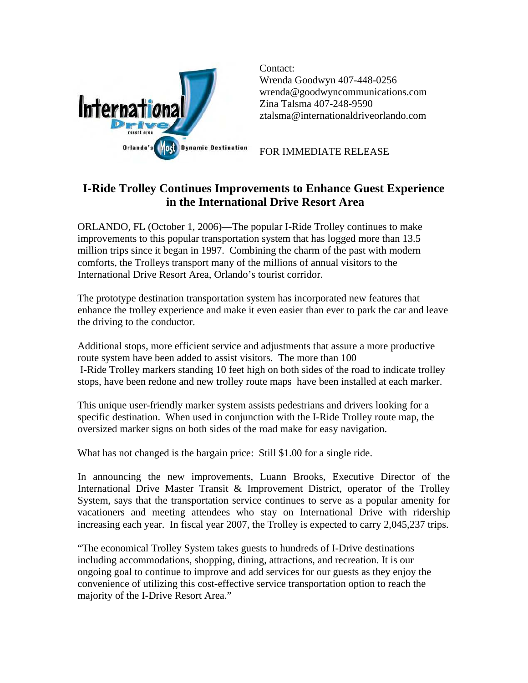

Contact: Wrenda Goodwyn 407-448-0256 wrenda@goodwyncommunications.com Zina Talsma 407-248-9590 [ztalsma@internationaldriveorlando.com](mailto:ztalsma@internationaldriveorlando.com) 

FOR IMMEDIATE RELEASE

## **I-Ride Trolley Continues Improvements to Enhance Guest Experience in the International Drive Resort Area**

ORLANDO, FL (October 1, 2006)—The popular I-Ride Trolley continues to make improvements to this popular transportation system that has logged more than 13.5 million trips since it began in 1997. Combining the charm of the past with modern comforts, the Trolleys transport many of the millions of annual visitors to the International Drive Resort Area, Orlando's tourist corridor.

The prototype destination transportation system has incorporated new features that enhance the trolley experience and make it even easier than ever to park the car and leave the driving to the conductor.

Additional stops, more efficient service and adjustments that assure a more productive route system have been added to assist visitors. The more than 100 I-Ride Trolley markers standing 10 feet high on both sides of the road to indicate trolley stops, have been redone and new trolley route maps have been installed at each marker.

This unique user-friendly marker system assists pedestrians and drivers looking for a specific destination. When used in conjunction with the I-Ride Trolley route map, the oversized marker signs on both sides of the road make for easy navigation.

What has not changed is the bargain price: Still \$1.00 for a single ride.

In announcing the new improvements, Luann Brooks, Executive Director of the International Drive Master Transit & Improvement District, operator of the Trolley System, says that the transportation service continues to serve as a popular amenity for vacationers and meeting attendees who stay on International Drive with ridership increasing each year. In fiscal year 2007, the Trolley is expected to carry 2,045,237 trips.

"The economical Trolley System takes guests to hundreds of I-Drive destinations including accommodations, shopping, dining, attractions, and recreation. It is our ongoing goal to continue to improve and add services for our guests as they enjoy the convenience of utilizing this cost-effective service transportation option to reach the majority of the I-Drive Resort Area."